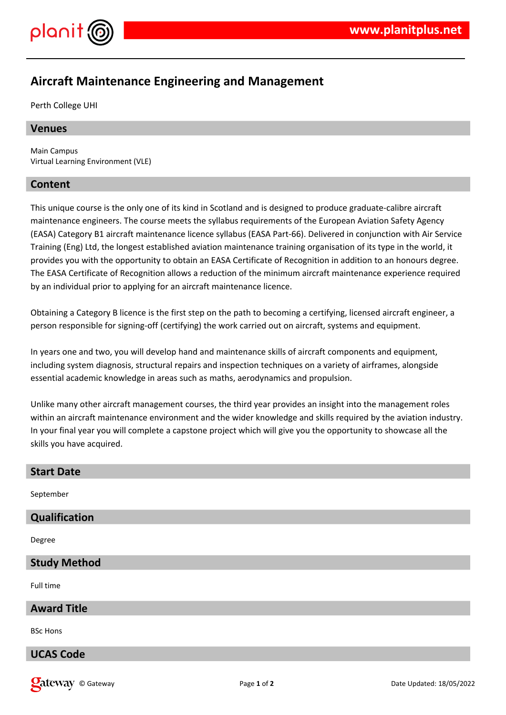

# **Aircraft Maintenance Engineering and Management**

Perth College UHI

# **Venues**

Main Campus Virtual Learning Environment (VLE)

# **Content**

This unique course is the only one of its kind in Scotland and is designed to produce graduate-calibre aircraft maintenance engineers. The course meets the syllabus requirements of the European Aviation Safety Agency (EASA) Category B1 aircraft maintenance licence syllabus (EASA Part-66). Delivered in conjunction with Air Service Training (Eng) Ltd, the longest established aviation maintenance training organisation of its type in the world, it provides you with the opportunity to obtain an EASA Certificate of Recognition in addition to an honours degree. The EASA Certificate of Recognition allows a reduction of the minimum aircraft maintenance experience required by an individual prior to applying for an aircraft maintenance licence.

Obtaining a Category B licence is the first step on the path to becoming a certifying, licensed aircraft engineer, a person responsible for signing-off (certifying) the work carried out on aircraft, systems and equipment.

In years one and two, you will develop hand and maintenance skills of aircraft components and equipment, including system diagnosis, structural repairs and inspection techniques on a variety of airframes, alongside essential academic knowledge in areas such as maths, aerodynamics and propulsion.

Unlike many other aircraft management courses, the third year provides an insight into the management roles within an aircraft maintenance environment and the wider knowledge and skills required by the aviation industry. In your final year you will complete a capstone project which will give you the opportunity to showcase all the skills you have acquired.

| <b>Start Date</b>   |
|---------------------|
| September           |
| Qualification       |
| Degree              |
| <b>Study Method</b> |
| Full time           |
| <b>Award Title</b>  |
| <b>BSc Hons</b>     |
| <b>UCAS Code</b>    |

© Gateway Page **1** of **2** Date Updated: 18/05/2022